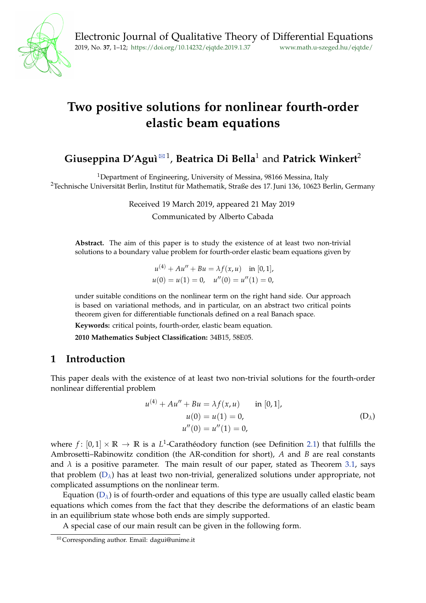# **Two positive solutions for nonlinear fourth-order elastic beam equations**

# $G$ iuseppina  $D'$ Aguì $^{\boxtimes 1}$ , [B](#page-0-0)eatrica Di Bella<sup>1</sup> and Patrick Winkert<sup>2</sup>

<sup>1</sup>Department of Engineering, University of Messina, 98166 Messina, Italy <sup>2</sup>Technische Universität Berlin, Institut für Mathematik, Straße des 17. Juni 136, 10623 Berlin, Germany

> Received 19 March 2019, appeared 21 May 2019 Communicated by Alberto Cabada

**Abstract.** The aim of this paper is to study the existence of at least two non-trivial solutions to a boundary value problem for fourth-order elastic beam equations given by

$$
u^{(4)} + Au'' + Bu = \lambda f(x, u) \text{ in } [0, 1],
$$
  
 
$$
u(0) = u(1) = 0, \quad u''(0) = u''(1) = 0,
$$

under suitable conditions on the nonlinear term on the right hand side. Our approach is based on variational methods, and in particular, on an abstract two critical points theorem given for differentiable functionals defined on a real Banach space.

**Keywords:** critical points, fourth-order, elastic beam equation.

**2010 Mathematics Subject Classification:** 34B15, 58E05.

# **1 Introduction**

This paper deals with the existence of at least two non-trivial solutions for the fourth-order nonlinear differential problem

<span id="page-0-1"></span>
$$
u^{(4)} + Au'' + Bu = \lambda f(x, u) \quad \text{in [0, 1]},
$$
  
\n
$$
u(0) = u(1) = 0,
$$
  
\n
$$
u''(0) = u''(1) = 0,
$$
  
\n(D<sub>λ</sub>)

where  $f: [0,1] \times \mathbb{R} \to \mathbb{R}$  is a  $L^1$ -Carathéodory function (see Definition [2.1\)](#page-2-0) that fulfills the Ambrosetti–Rabinowitz condition (the AR-condition for short), *A* and *B* are real constants and  $\lambda$  is a positive parameter. The main result of our paper, stated as Theorem [3.1,](#page-5-0) says that problem  $(D_{\lambda})$  $(D_{\lambda})$  has at least two non-trivial, generalized solutions under appropriate, not complicated assumptions on the nonlinear term.

Equation  $(D_{\lambda})$  $(D_{\lambda})$  is of fourth-order and equations of this type are usually called elastic beam equations which comes from the fact that they describe the deformations of an elastic beam in an equilibrium state whose both ends are simply supported.

A special case of our main result can be given in the following form.

<span id="page-0-0"></span><sup>&</sup>lt;sup>⊠</sup> Corresponding author. Email: dagui@unime.it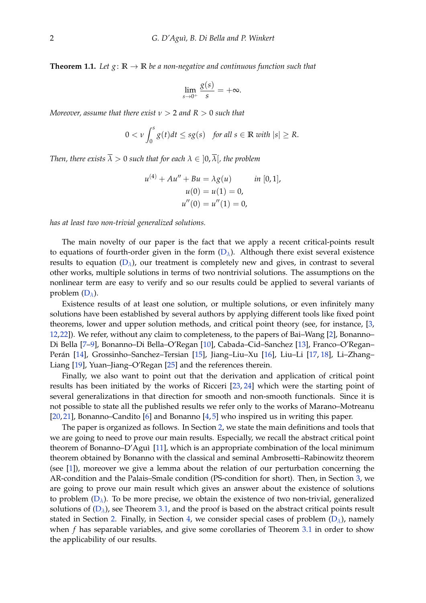<span id="page-1-0"></span>**Theorem 1.1.** *Let*  $g: \mathbb{R} \to \mathbb{R}$  *be a non-negative and continuous function such that* 

$$
\lim_{s \to 0^+} \frac{g(s)}{s} = +\infty.
$$

*Moreover, assume that there exist ν* > 2 *and R* > 0 *such that*

$$
0 < \nu \int_0^s g(t)dt \leq sg(s) \quad \text{for all } s \in \mathbb{R} \text{ with } |s| \geq R.
$$

*Then, there exists*  $\overline{\lambda} > 0$  *such that for each*  $\lambda \in [0, \overline{\lambda}]$ *, the problem* 

$$
u^{(4)} + Au'' + Bu = \lambda g(u) \qquad in [0, 1],
$$
  
\n
$$
u(0) = u(1) = 0,
$$
  
\n
$$
u''(0) = u''(1) = 0,
$$

*has at least two non-trivial generalized solutions.*

The main novelty of our paper is the fact that we apply a recent critical-points result to equations of fourth-order given in the form  $(D_{\lambda})$  $(D_{\lambda})$ . Although there exist several existence results to equation  $(D_{\lambda})$  $(D_{\lambda})$ , our treatment is completely new and gives, in contrast to several other works, multiple solutions in terms of two nontrivial solutions. The assumptions on the nonlinear term are easy to verify and so our results could be applied to several variants of problem [\(D](#page-0-1)*λ*).

Existence results of at least one solution, or multiple solutions, or even infinitely many solutions have been established by several authors by applying different tools like fixed point theorems, lower and upper solution methods, and critical point theory (see, for instance, [\[3,](#page-9-0) [12,](#page-10-0)[22\]](#page-10-1)). We refer, without any claim to completeness, to the papers of Bai–Wang [\[2\]](#page-9-1), Bonanno– Di Bella [\[7–](#page-9-2)[9\]](#page-9-3), Bonanno–Di Bella–O'Regan [\[10\]](#page-9-4), Cabada–Cid–Sanchez [\[13\]](#page-10-2), Franco–O'Regan– Perán [\[14\]](#page-10-3), Grossinho–Sanchez–Tersian [\[15\]](#page-10-4), Jiang–Liu–Xu [\[16\]](#page-10-5), Liu–Li [\[17,](#page-10-6) [18\]](#page-10-7), Li–Zhang– Liang [\[19\]](#page-10-8), Yuan–Jiang–O'Regan [\[25\]](#page-11-0) and the references therein.

Finally, we also want to point out that the derivation and application of critical point results has been initiated by the works of Ricceri [\[23,](#page-10-9) [24\]](#page-11-1) which were the starting point of several generalizations in that direction for smooth and non-smooth functionals. Since it is not possible to state all the published results we refer only to the works of Marano–Motreanu [\[20,](#page-10-10) [21\]](#page-10-11), Bonanno–Candito [\[6\]](#page-9-5) and Bonanno [\[4,](#page-9-6) [5\]](#page-9-7) who inspired us in writing this paper.

The paper is organized as follows. In Section [2,](#page-2-1) we state the main definitions and tools that we are going to need to prove our main results. Especially, we recall the abstract critical point theorem of Bonanno–D'Aguì [\[11\]](#page-10-12), which is an appropriate combination of the local minimum theorem obtained by Bonanno with the classical and seminal Ambrosetti–Rabinowitz theorem (see [\[1\]](#page-9-8)), moreover we give a lemma about the relation of our perturbation concerning the AR-condition and the Palais–Smale condition (PS-condition for short). Then, in Section [3,](#page-5-1) we are going to prove our main result which gives an answer about the existence of solutions to problem  $(D_{\lambda})$  $(D_{\lambda})$ . To be more precise, we obtain the existence of two non-trivial, generalized solutions of  $(D_\lambda)$  $(D_\lambda)$ , see Theorem [3.1,](#page-5-0) and the proof is based on the abstract critical points result stated in Section [2.](#page-2-1) Finally, in Section [4,](#page-6-0) we consider special cases of problem [\(D](#page-0-1)*λ*), namely when *f* has separable variables, and give some corollaries of Theorem [3.1](#page-5-0) in order to show the applicability of our results.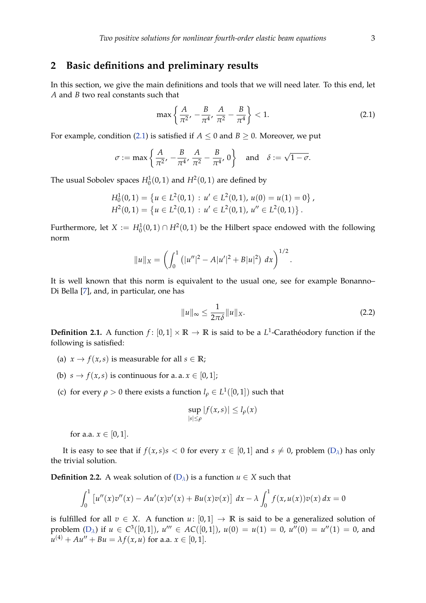#### <span id="page-2-1"></span>**2 Basic definitions and preliminary results**

In this section, we give the main definitions and tools that we will need later. To this end, let *A* and *B* two real constants such that

<span id="page-2-2"></span>
$$
\max\left\{\frac{A}{\pi^2}, -\frac{B}{\pi^4}, \frac{A}{\pi^2} - \frac{B}{\pi^4}\right\} < 1. \tag{2.1}
$$

For example, condition [\(2.1\)](#page-2-2) is satisfied if  $A \leq 0$  and  $B \geq 0$ . Moreover, we put

$$
\sigma := \max\left\{\frac{A}{\pi^2}, -\frac{B}{\pi^4}, \frac{A}{\pi^2} - \frac{B}{\pi^4}, 0\right\} \text{ and } \delta := \sqrt{1 - \sigma}.
$$

The usual Sobolev spaces  $H_0^1(0,1)$  and  $H^2(0,1)$  are defined by

$$
H_0^1(0,1) = \{u \in L^2(0,1) : u' \in L^2(0,1), u(0) = u(1) = 0\},
$$
  

$$
H^2(0,1) = \{u \in L^2(0,1) : u' \in L^2(0,1), u'' \in L^2(0,1)\}.
$$

Furthermore, let  $X := H_0^1(0,1) \cap H^2(0,1)$  be the Hilbert space endowed with the following norm

$$
||u||_X = \left(\int_0^1 (|u''|^2 - A|u'|^2 + B|u|^2) dx\right)^{1/2}.
$$

It is well known that this norm is equivalent to the usual one, see for example Bonanno– Di Bella [\[7\]](#page-9-2), and, in particular, one has

<span id="page-2-3"></span>
$$
||u||_{\infty} \le \frac{1}{2\pi\delta} ||u||_{X}.
$$
\n(2.2)

<span id="page-2-0"></span>**Definition 2.1.** A function  $f: [0,1] \times \mathbb{R} \to \mathbb{R}$  is said to be a  $L^1$ -Carathéodory function if the following is satisfied:

- (a)  $x \rightarrow f(x, s)$  is measurable for all  $s \in \mathbb{R}$ ;
- (b)  $s \rightarrow f(x, s)$  is continuous for a. a.  $x \in [0, 1]$ ;
- (c) for every  $\rho > 0$  there exists a function  $l_\rho \in L^1([0,1])$  such that

$$
\sup_{|s| \le \rho} |f(x, s)| \le l_\rho(x)
$$

for a.a.  $x \in [0, 1]$ .

It is easy to see that if  $f(x, s)s < 0$  for every  $x \in [0, 1]$  and  $s \neq 0$ , problem  $(D_{\lambda})$  $(D_{\lambda})$  has only the trivial solution.

**Definition 2.2.** A weak solution of  $(D_\lambda)$  $(D_\lambda)$  is a function  $u \in X$  such that

$$
\int_0^1 [u''(x)v''(x) - Au'(x)v'(x) + Bu(x)v(x)] dx - \lambda \int_0^1 f(x, u(x))v(x) dx = 0
$$

is fulfilled for all  $v \in X$ . A function  $u: [0,1] \to \mathbb{R}$  is said to be a generalized solution of problem  $(D_\lambda)$  $(D_\lambda)$  if  $u \in C^3([0,1])$ ,  $u''' \in AC([0,1])$ ,  $u(0) = u(1) = 0$ ,  $u''(0) = u''(1) = 0$ , and  $u^{(4)} + Au'' + Bu = \lambda f(x, u)$  for a.a.  $x \in [0, 1].$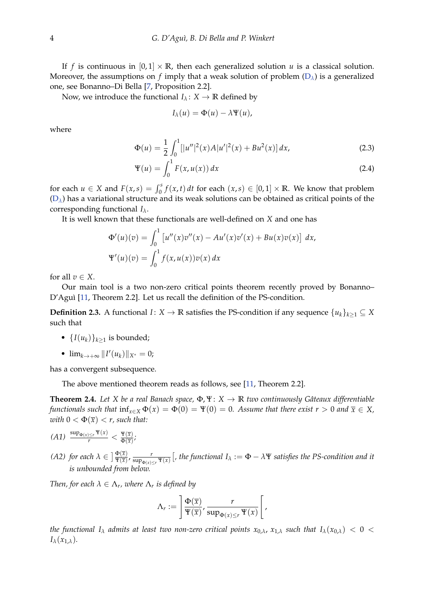Now, we introduce the functional  $I_\lambda: X \to \mathbb{R}$  defined by

<span id="page-3-2"></span><span id="page-3-1"></span>
$$
I_{\lambda}(u) = \Phi(u) - \lambda \Psi(u),
$$

where

$$
\Phi(u) = \frac{1}{2} \int_0^1 [ |u''|^2(x) A |u'|^2(x) + Bu^2(x) ] \, dx,\tag{2.3}
$$

$$
\Psi(u) = \int_0^1 F(x, u(x)) dx \tag{2.4}
$$

for each  $u \in X$  and  $F(x, s) = \int_0^s f(x, t) dt$  for each  $(x, s) \in [0, 1] \times \mathbb{R}$ . We know that problem [\(D](#page-0-1)*λ*) has a variational structure and its weak solutions can be obtained as critical points of the corresponding functional *Iλ*.

It is well known that these functionals are well-defined on *X* and one has

$$
\Phi'(u)(v) = \int_0^1 \left[ u''(x)v''(x) - Au'(x)v'(x) + Bu(x)v(x) \right] dx,
$$
  

$$
\Psi'(u)(v) = \int_0^1 f(x, u(x))v(x) dx
$$

for all  $v \in X$ .

Our main tool is a two non-zero critical points theorem recently proved by Bonanno– D'Aguì [\[11,](#page-10-12) Theorem 2.2]. Let us recall the definition of the PS-condition.

**Definition 2.3.** A functional *I* : *X* → **R** satisfies the PS-condition if any sequence  $\{u_k\}_{k\geq 1} \subseteq X$ such that

- ${I(u_k)}_{k\geq1}$  is bounded;
- $\lim_{k \to +\infty} ||I'(u_k)||_{X^*} = 0;$

has a convergent subsequence.

The above mentioned theorem reads as follows, see [\[11,](#page-10-12) Theorem 2.2].

<span id="page-3-0"></span>**Theorem 2.4.** *Let X be a real Banach space,* Φ, Ψ: *X* → **R** *two continuously Gâteaux differentiable functionals such that*  $inf_{x \in X} \Phi(x) = \Phi(0) = \Psi(0) = 0$ *. Assume that there exist*  $r > 0$  *and*  $\overline{x} \in X$ *, with*  $0 < \Phi(\overline{x}) < r$ , such that:

- $p(A1) \frac{\sup_{\Phi(x) \leq r} \Psi(x)}{r} < \frac{\Psi(\overline{x})}{\Phi(\overline{x})}$  $rac{1}{\Phi(\overline{x})}$ ;
- *(A2)* for each  $\lambda \in \left] \frac{\Phi(\overline{x})}{\Psi(\overline{x})}$ ,  $\frac{r}{\sup_{\Phi(x)\leq r} \Psi(x)} \right[$ , the functional  $I_\lambda:=\Phi-\lambda \Psi$  satisfies the PS-condition and it *is unbounded from below.*

*Then, for each*  $\lambda \in \Lambda_r$ , where  $\Lambda_r$  is defined by

$$
\Lambda_r := \left[ \frac{\Phi(\overline{x})}{\Psi(\overline{x})}, \frac{r}{\sup_{\Phi(x) \leq r} \Psi(x)} \right],
$$

*the functional*  $I_\lambda$  *admits at least two non-zero critical points*  $x_{0,\lambda}$ ,  $x_{1,\lambda}$  *such that*  $I_\lambda(x_{0,\lambda}) < 0$  <  $I_{\lambda}(x_{1,\lambda})$ .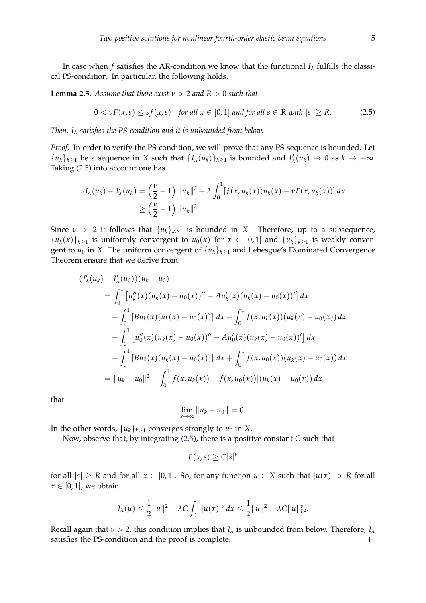In case when *f* satisfies the AR-condition we know that the functional  $I_\lambda$  fulfills the classical PS-condition. In particular, the following holds.

<span id="page-4-1"></span>**Lemma 2.5.** *Assume that there exist*  $v > 2$  *and*  $R > 0$  *such that* 

<span id="page-4-0"></span>
$$
0 < vF(x, s) \le sf(x, s) \quad \text{for all } x \in [0, 1] \text{ and for all } s \in \mathbb{R} \text{ with } |s| \ge R. \tag{2.5}
$$

*Then, I<sup>λ</sup> satisfies the PS-condition and it is unbounded from below.*

*Proof.* In order to verify the PS-condition, we will prove that any PS-sequence is bounded. Let  $\{u_k\}_{k\geq 1}$  be a sequence in *X* such that  $\{I_\lambda(u_k)\}_{k\geq 1}$  is bounded and  $I_\lambda^I$  $\chi'_{\lambda}(u_k) \to 0$  as  $k \to +\infty$ . Taking [\(2.5\)](#page-4-0) into account one has

$$
\nu I_{\lambda}(u_{k}) - I'_{\lambda}(u_{k}) = \left(\frac{\nu}{2} - 1\right) \|u_{k}\|^{2} + \lambda \int_{0}^{1} [f(x, u_{k}(x))u_{k}(x) - \nu F(x, u_{k}(x))] dx
$$
  
\n
$$
\geq \left(\frac{\nu}{2} - 1\right) \|u_{k}\|^{2}.
$$

Since  $\nu > 2$  it follows that  $\{u_k\}_{k\geq 1}$  is bounded in *X*. Therefore, up to a subsequence,  ${u_k(x)}_{k\geq 1}$  is uniformly convergent to  $u_0(x)$  for  $x \in [0,1]$  and  ${u_k}_{k\geq 1}$  is weakly convergent to  $u_0$  in *X*. The uniform convergent of  $\{u_k\}_{k>1}$  and Lebesgue's Dominated Convergence Theorem ensure that we derive from

$$
(I'_{\lambda}(u_{k}) - I'_{\lambda}(u_{0}))(u_{k} - u_{0})
$$
\n
$$
= \int_{0}^{1} [u''_{k}(x)(u_{k}(x) - u_{0}(x))'' - Au'_{k}(x)(u_{k}(x) - u_{0}(x))'] dx
$$
\n
$$
+ \int_{0}^{1} [Bu_{k}(x)(u_{k}(x) - u_{0}(x))] dx - \int_{0}^{1} f(x, u_{k}(x))(u_{k}(x) - u_{0}(x)) dx
$$
\n
$$
- \int_{0}^{1} [u''_{0}(x)(u_{k}(x) - u_{0}(x))'' - Au'_{0}(x)(u_{k}(x) - u_{0}(x))'] dx
$$
\n
$$
+ \int_{0}^{1} [Bu_{0}(x)(u_{k}(x) - u_{0}(x))] dx + \int_{0}^{1} f(x, u_{0}(x))(u_{k}(x) - u_{0}(x)) dx
$$
\n
$$
= ||u_{k} - u_{0}||^{2} - \int_{0}^{1} [f(x, u_{k}(x)) - f(x, u_{0}(x))](u_{k}(x) - u_{0}(x)) dx
$$

that

$$
\lim_{k\to\infty}||u_k-u_0||=0.
$$

In the other words,  $\{u_k\}_{k>1}$  converges strongly to  $u_0$  in *X*.

Now, observe that, by integrating [\(2.5\)](#page-4-0), there is a positive constant *C* such that

$$
F(x,s) \geq C|s|^{\nu}
$$

for all  $|s| \ge R$  and for all  $x \in [0,1]$ . So, for any function  $u \in X$  such that  $|u(x)| > R$  for all  $x \in [0, 1]$ , we obtain

$$
I_{\lambda}(u) \leq \frac{1}{2}||u||^2 - \lambda C \int_0^1 |u(x)|^{\nu} dx \leq \frac{1}{2}||u||^2 - \lambda C ||u||_{L^2}^{\nu}.
$$

Recall again that  $\nu > 2$ , this condition implies that  $I_\lambda$  is unbounded from below. Therefore,  $I_\lambda$ satisfies the PS-condition and the proof is complete. $\Box$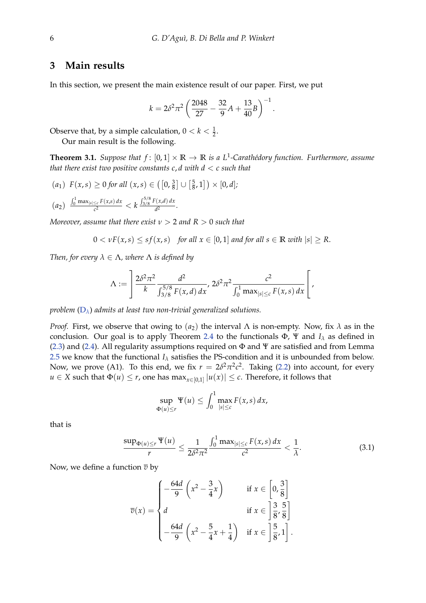#### <span id="page-5-1"></span>**3 Main results**

In this section, we present the main existence result of our paper. First, we put

$$
k = 2\delta^2 \pi^2 \left(\frac{2048}{27} - \frac{32}{9}A + \frac{13}{40}B\right)^{-1}.
$$

Observe that, by a simple calculation,  $0 < k < \frac{1}{2}$ .

Our main result is the following.

<span id="page-5-0"></span>**Theorem 3.1.** *Suppose that f* : [0, 1] × **R** → **R** *is a L*<sup>1</sup> *-Carathédory function. Furthermore, assume that there exist two positive constants c*, *d with d* < *c such that*

 $(a_1) F(x, s) \ge 0$  for all  $(x, s) \in ([0, \frac{3}{8}] \cup [\frac{5}{8}]$  $\left[\frac{5}{8}, 1\right]$ ) ×  $[0, d]$ ;

$$
(a_2) \frac{\int_0^1 \max_{|s| \leq c} F(x,s) dx}{c^2} < k \frac{\int_{3/8}^{5/8} F(x,d) dx}{d^2}.
$$

*Moreover, assume that there exist ν* > 2 *and R* > 0 *such that*

$$
0 < vF(x, s) \le sf(x, s) \quad \text{for all } x \in [0, 1] \text{ and for all } s \in \mathbb{R} \text{ with } |s| \ge R.
$$

*Then, for every*  $\lambda \in \Lambda$ *, where*  $\Lambda$  *is defined by* 

$$
\Lambda := \left[ \frac{2\delta^2 \pi^2}{k} \frac{d^2}{\int_{3/8}^{5/8} F(x, d) dx}, 2\delta^2 \pi^2 \frac{c^2}{\int_0^1 \max_{|s| \le c} F(x, s) dx} \right],
$$

*problem* [\(D](#page-0-1)*λ*) *admits at least two non-trivial generalized solutions.*

*Proof.* First, we observe that owing to  $(a_2)$  the interval  $\Lambda$  is non-empty. Now, fix  $\lambda$  as in the conclusion. Our goal is to apply Theorem [2.4](#page-3-0) to the functionals Φ, Ψ and *I<sup>λ</sup>* as defined in [\(2.3\)](#page-3-1) and [\(2.4\)](#page-3-2). All regularity assumptions required on Φ and Ψ are satisfied and from Lemma [2.5](#page-4-1) we know that the functional  $I_\lambda$  satisfies the PS-condition and it is unbounded from below. Now, we prove (A1). To this end, we fix  $r = 2\delta^2\pi^2c^2$ . Taking [\(2.2\)](#page-2-3) into account, for every  $u \in X$  such that  $\Phi(u) \leq r$ , one has  $\max_{x \in [0,1]} |u(x)| \leq c$ . Therefore, it follows that

<span id="page-5-2"></span>
$$
\sup_{\Phi(u)\leq r} \Psi(u) \leq \int_0^1 \max_{|s|\leq c} F(x,s) \, dx,
$$

that is

$$
\frac{\sup_{\Phi(u)\leq r} \Psi(u)}{r} \leq \frac{1}{2\delta^2 \pi^2} \frac{\int_0^1 \max_{|s|\leq c} F(x,s) \, dx}{c^2} < \frac{1}{\lambda}.\tag{3.1}
$$

Now, we define a function  $\bar{v}$  by

$$
\overline{v}(x) = \begin{cases}\n-\frac{64d}{9}\left(x^2 - \frac{3}{4}x\right) & \text{if } x \in \left[0, \frac{3}{8}\right] \\
d & \text{if } x \in \left[\frac{3}{8}, \frac{5}{8}\right] \\
-\frac{64d}{9}\left(x^2 - \frac{5}{4}x + \frac{1}{4}\right) & \text{if } x \in \left[\frac{5}{8}, 1\right].\n\end{cases}
$$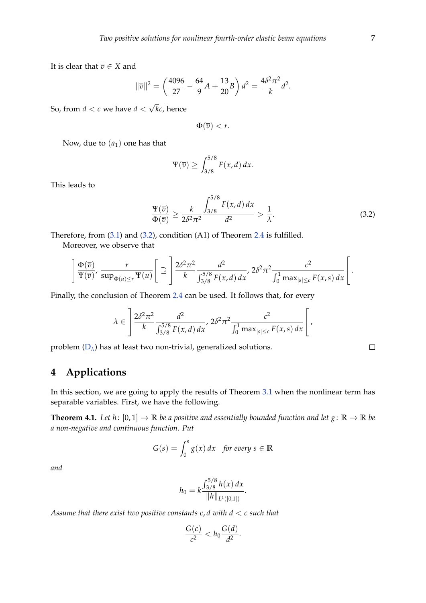It is clear that  $\overline{v} \in X$  and

$$
\|\overline{v}\|^2 = \left(\frac{4096}{27} - \frac{64}{9}A + \frac{13}{20}B\right)d^2 = \frac{4\delta^2\pi^2}{k}d^2.
$$

So, from  $d < c$  we have  $d <$ √ *kc*, hence

 $\Phi(\overline{v}) < r$ .

Now, due to  $(a_1)$  one has that

$$
\Psi(\overline{v}) \ge \int_{3/8}^{5/8} F(x, d) dx.
$$

This leads to

$$
\frac{\Psi(\overline{v})}{\Phi(\overline{v})} \ge \frac{k}{2\delta^2 \pi^2} \frac{\int_{3/8}^{5/8} F(x, d) dx}{d^2} > \frac{1}{\lambda}.
$$
\n(3.2)

Therefore, from [\(3.1\)](#page-5-2) and [\(3.2\)](#page-6-1), condition (A1) of Theorem [2.4](#page-3-0) is fulfilled.

Moreover, we observe that

$$
\left[\frac{\Phi(\overline{v})}{\Psi(\overline{v})}, \frac{r}{\sup_{\Phi(u)\leq r}\Psi(u)}\right] \supseteq \left]\frac{2\delta^2\pi^2}{k} \frac{d^2}{\int_{3/8}^{5/8}F(x, d)\,dx}, 2\delta^2\pi^2 \frac{c^2}{\int_0^1 \max_{|s|\leq c}F(x, s)\,dx}\right].
$$

Finally, the conclusion of Theorem [2.4](#page-3-0) can be used. It follows that, for every

$$
\lambda \in \left] \frac{2\delta^2 \pi^2}{k} \frac{d^2}{\int_{3/8}^{5/8} F(x, d) dx}, 2\delta^2 \pi^2 \frac{c^2}{\int_0^1 \max_{|s| \le c} F(x, s) dx} \right],
$$

problem [\(D](#page-0-1)*λ*) has at least two non-trivial, generalized solutions.

## <span id="page-6-0"></span>**4 Applications**

In this section, we are going to apply the results of Theorem [3.1](#page-5-0) when the nonlinear term has separable variables. First, we have the following.

<span id="page-6-2"></span>**Theorem 4.1.** *Let h*:  $[0,1] \rightarrow \mathbb{R}$  *be a positive and essentially bounded function and let*  $g: \mathbb{R} \rightarrow \mathbb{R}$  *be a non-negative and continuous function. Put*

$$
G(s) = \int_0^s g(x) dx \quad \text{for every } s \in \mathbb{R}
$$

*and*

$$
h_0 = k \frac{\int_{3/8}^{5/8} h(x) dx}{\|h\|_{L^1([0,1])}}.
$$

*Assume that there exist two positive constants c*, *d with d* < *c such that*

$$
\frac{G(c)}{c^2} < h_0 \frac{G(d)}{d^2}.
$$

<span id="page-6-1"></span> $\Box$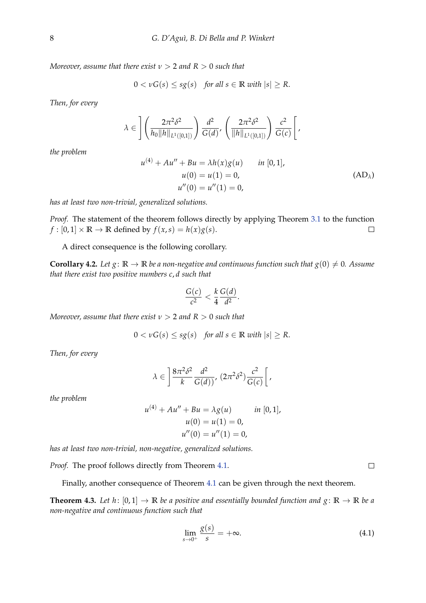*Moreover, assume that there exist ν* > 2 *and R* > 0 *such that*

$$
0 < \nu G(s) \leq sg(s) \quad \text{for all } s \in \mathbb{R} \text{ with } |s| \geq R.
$$

*Then, for every*

$$
\lambda \in \left] \left( \frac{2\pi^2 \delta^2}{h_0 \|h\|_{L^1([0,1])}} \right) \frac{d^2}{G(d)}, \left( \frac{2\pi^2 \delta^2}{\|h\|_{L^1([0,1])}} \right) \frac{c^2}{G(c)} \right[,
$$

*the problem*

<span id="page-7-1"></span>
$$
u^{(4)} + Au'' + Bu = \lambda h(x)g(u) \qquad in [0, 1],
$$
  
\n
$$
u(0) = u(1) = 0,
$$
  
\n
$$
u''(0) = u''(1) = 0,
$$
\n(AD<sub>λ</sub>)

*has at least two non-trivial, generalized solutions.*

*Proof.* The statement of the theorem follows directly by applying Theorem [3.1](#page-5-0) to the function  $f : [0, 1] \times \mathbb{R} \to \mathbb{R}$  defined by  $f(x, s) = h(x)g(s)$ .  $\Box$ 

A direct consequence is the following corollary.

**Corollary 4.2.** *Let g*:  $\mathbb{R} \to \mathbb{R}$  *be a non-negative and continuous function such that*  $g(0) \neq 0$ *. Assume that there exist two positive numbers c*, *d such that*

<span id="page-7-0"></span>
$$
\frac{G(c)}{c^2} < \frac{k}{4} \frac{G(d)}{d^2}.
$$

*Moreover, assume that there exist ν* > 2 *and R* > 0 *such that*

$$
0 < v \cdot G(s) \leq s g(s) \quad \text{for all } s \in \mathbb{R} \text{ with } |s| \geq R.
$$

*Then, for every*

$$
\lambda \in \left] \frac{8\pi^2 \delta^2}{k} \frac{d^2}{G(d)} \right, (2\pi^2 \delta^2) \frac{c^2}{G(c)} \left[ \right,
$$

*the problem*

$$
u^{(4)} + Au'' + Bu = \lambda g(u) \qquad in [0, 1],
$$
  

$$
u(0) = u(1) = 0,
$$
  

$$
u''(0) = u''(1) = 0,
$$

*has at least two non-trivial, non-negative, generalized solutions.*

*Proof.* The proof follows directly from Theorem [4.1.](#page-6-2)

Finally, another consequence of Theorem [4.1](#page-6-2) can be given through the next theorem.

<span id="page-7-2"></span>**Theorem 4.3.** *Let h*:  $[0,1] \rightarrow \mathbb{R}$  *be a positive and essentially bounded function and*  $g: \mathbb{R} \rightarrow \mathbb{R}$  *<i>be a non-negative and continuous function such that*

$$
\lim_{s \to 0^+} \frac{g(s)}{s} = +\infty. \tag{4.1}
$$

 $\Box$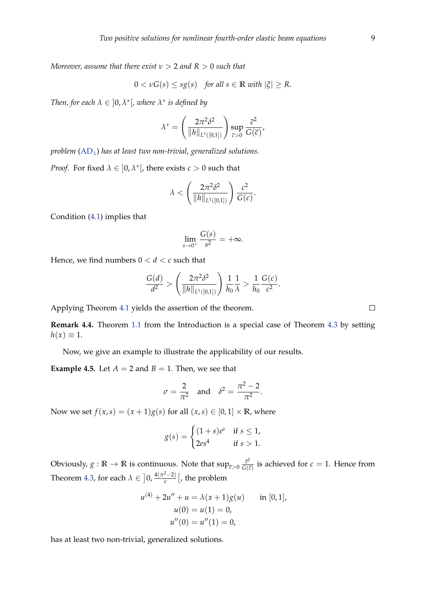*Moreover, assume that there exist ν* > 2 *and R* > 0 *such that*

$$
0 < v \cdot G(s) \leq s g(s) \quad \text{for all } s \in \mathbb{R} \text{ with } |\xi| \geq R.
$$

*Then, for each*  $\lambda \in ]0, \lambda^*[$ , where  $\lambda^*$  is defined by

$$
\lambda^* = \left(\frac{2\pi^2\delta^2}{\|h\|_{L^1([0,1])}}\right) \sup_{\bar{c} > 0} \frac{\bar{c}^2}{G(\bar{c})},
$$

*problem* [\(AD](#page-7-0)*λ*) *has at least two non-trivial, generalized solutions.*

*Proof.* For fixed  $\lambda \in ]0, \lambda^*[$ , there exists  $c > 0$  such that

$$
\lambda < \left(\frac{2\pi^2\delta^2}{\|h\|_{L^1([0,1])}}\right)\frac{c^2}{G(c)}.
$$

Condition [\(4.1\)](#page-7-1) implies that

$$
\lim_{s \to 0^+} \frac{G(s)}{s^2} = +\infty.
$$

Hence, we find numbers  $0 < d < c$  such that

$$
\frac{G(d)}{d^2} > \left(\frac{2\pi^2\delta^2}{\|h\|_{L^1([0,1])}}\right)\frac{1}{h_0}\frac{1}{\lambda} > \frac{1}{h_0}\frac{G(c)}{c^2}.
$$

Applying Theorem [4.1](#page-6-2) yields the assertion of the theorem.

**Remark 4.4.** Theorem [1.1](#page-1-0) from the Introduction is a special case of Theorem [4.3](#page-7-2) by setting  $h(x) \equiv 1.$ 

Now, we give an example to illustrate the applicability of our results.

**Example 4.5.** Let  $A = 2$  and  $B = 1$ . Then, we see that

$$
\sigma = \frac{2}{\pi^2} \quad \text{and} \quad \delta^2 = \frac{\pi^2 - 2}{\pi^2}.
$$

Now we set  $f(x, s) = (x + 1)g(s)$  for all  $(x, s) \in [0, 1] \times \mathbb{R}$ , where

$$
g(s) = \begin{cases} (1+s)e^s & \text{if } s \le 1, \\ 2es^4 & \text{if } s > 1. \end{cases}
$$

Obviously,  $g : \mathbb{R} \to \mathbb{R}$  is continuous. Note that  $\sup_{\bar{c} > 0} \frac{\bar{c}^2}{G(i)}$  $\frac{c^2}{G(\overline{c})}$  is achieved for  $c = 1$ . Hence from Theorem [4.3,](#page-7-2) for each  $\lambda \in \left]0, \frac{4(\pi^2-2)}{e}\right]$  $\frac{(-2)}{e}$  [, the problem

$$
u^{(4)} + 2u'' + u = \lambda(x+1)g(u) \quad \text{in [0,1]},
$$
  
\n
$$
u(0) = u(1) = 0,
$$
  
\n
$$
u''(0) = u''(1) = 0,
$$

has at least two non-trivial, generalized solutions.

 $\Box$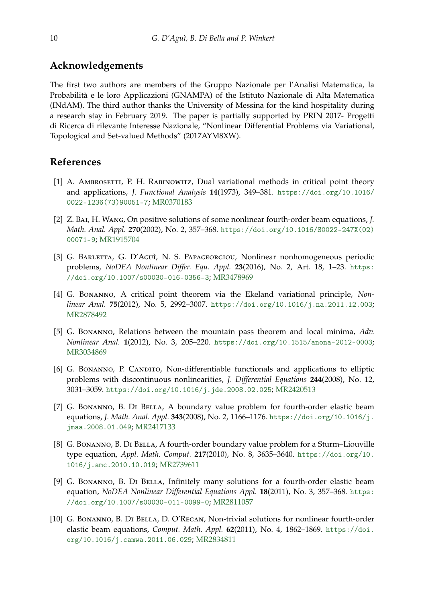#### **Acknowledgements**

The first two authors are members of the Gruppo Nazionale per l'Analisi Matematica, la Probabilità e le loro Applicazioni (GNAMPA) of the Istituto Nazionale di Alta Matematica (INdAM). The third author thanks the University of Messina for the kind hospitality during a research stay in February 2019. The paper is partially supported by PRIN 2017- Progetti di Ricerca di rilevante Interesse Nazionale, "Nonlinear Differential Problems via Variational, Topological and Set-valued Methods" (2017AYM8XW).

## **References**

- <span id="page-9-8"></span>[1] A. AMBROSETTI, P. H. RABINOWITZ, Dual variational methods in critical point theory and applications, *J. Functional Analysis* **14**(1973), 349–381. [https://doi.org/10.1016/](https://doi.org/10.1016/0022-1236(73)90051-7) [0022-1236\(73\)90051-7](https://doi.org/10.1016/0022-1236(73)90051-7); [MR0370183](https://www.ams.org/mathscinet-getitem?mr=0370183)
- <span id="page-9-1"></span>[2] Z. Bai, H. Wang, On positive solutions of some nonlinear fourth-order beam equations, *J. Math. Anal. Appl.* **270**(2002), No. 2, 357–368. [https://doi.org/10.1016/S0022-247X\(02\)](https://doi.org/10.1016/S0022-247X(02)00071-9) [00071-9](https://doi.org/10.1016/S0022-247X(02)00071-9); [MR1915704](https://www.ams.org/mathscinet-getitem?mr=1915704)
- <span id="page-9-0"></span>[3] G. Barletta, G. D'Aguì, N. S. Papageorgiou, Nonlinear nonhomogeneous periodic problems, *NoDEA Nonlinear Differ. Equ. Appl.* **23**(2016), No. 2, Art. 18, 1–23. [https:](https://doi.org/10.1007/s00030-016-0356-3) [//doi.org/10.1007/s00030-016-0356-3](https://doi.org/10.1007/s00030-016-0356-3); [MR3478969](https://www.ams.org/mathscinet-getitem?mr=3478969)
- <span id="page-9-6"></span>[4] G. Bonanno, A critical point theorem via the Ekeland variational principle, *Nonlinear Anal.* **75**(2012), No. 5, 2992–3007. <https://doi.org/10.1016/j.na.2011.12.003>; [MR2878492](https://www.ams.org/mathscinet-getitem?mr=2878492)
- <span id="page-9-7"></span>[5] G. Bonanno, Relations between the mountain pass theorem and local minima, *Adv. Nonlinear Anal.* **1**(2012), No. 3, 205–220. <https://doi.org/10.1515/anona-2012-0003>; [MR3034869](https://www.ams.org/mathscinet-getitem?mr=3034869)
- <span id="page-9-5"></span>[6] G. BONANNO, P. CANDITO, Non-differentiable functionals and applications to elliptic problems with discontinuous nonlinearities, *J. Differential Equations* **244**(2008), No. 12, 3031–3059. <https://doi.org/10.1016/j.jde.2008.02.025>; [MR2420513](https://www.ams.org/mathscinet-getitem?mr=2420513)
- <span id="page-9-2"></span>[7] G. Bonanno, B. Di Bella, A boundary value problem for fourth-order elastic beam equations, *J. Math. Anal. Appl.* **343**(2008), No. 2, 1166–1176. [https://doi.org/10.1016/j.](https://doi.org/10.1016/j.jmaa.2008.01.049) [jmaa.2008.01.049](https://doi.org/10.1016/j.jmaa.2008.01.049); [MR2417133](https://www.ams.org/mathscinet-getitem?mr=2417133)
- [8] G. BONANNO, B. DI BELLA, A fourth-order boundary value problem for a Sturm–Liouville type equation, *Appl. Math. Comput.* **217**(2010), No. 8, 3635–3640. [https://doi.org/10.](https://doi.org/10.1016/j.amc.2010.10.019) [1016/j.amc.2010.10.019](https://doi.org/10.1016/j.amc.2010.10.019); [MR2739611](https://www.ams.org/mathscinet-getitem?mr=2739611)
- <span id="page-9-3"></span>[9] G. Bonanno, B. Di Bella, Infinitely many solutions for a fourth-order elastic beam equation, *NoDEA Nonlinear Differential Equations Appl.* **18**(2011), No. 3, 357–368. [https:](https://doi.org/10.1007/s00030-011-0099-0) [//doi.org/10.1007/s00030-011-0099-0](https://doi.org/10.1007/s00030-011-0099-0); [MR2811057](https://www.ams.org/mathscinet-getitem?mr=2811057)
- <span id="page-9-4"></span>[10] G. BONANNO, B. DI BELLA, D. O'REGAN, Non-trivial solutions for nonlinear fourth-order elastic beam equations, *Comput. Math. Appl.* **62**(2011), No. 4, 1862–1869. [https://doi.](https://doi.org/10.1016/j.camwa.2011.06.029) [org/10.1016/j.camwa.2011.06.029](https://doi.org/10.1016/j.camwa.2011.06.029); [MR2834811](https://www.ams.org/mathscinet-getitem?mr=2834811)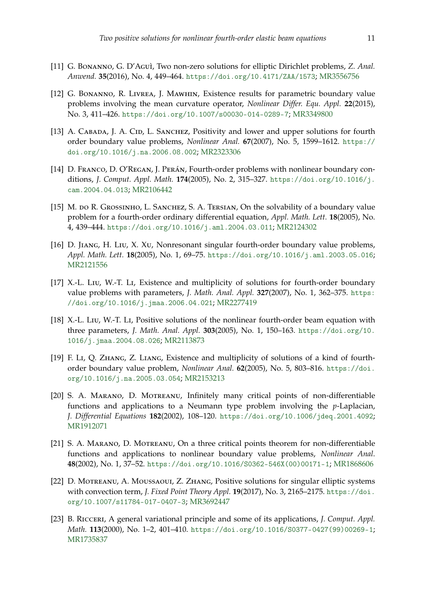- <span id="page-10-12"></span>[11] G. Bonanno, G. D'Aguì, Two non-zero solutions for elliptic Dirichlet problems, *Z. Anal. Anwend.* **35**(2016), No. 4, 449–464. <https://doi.org/10.4171/ZAA/1573>; [MR3556756](https://www.ams.org/mathscinet-getitem?mr=3556756)
- <span id="page-10-0"></span>[12] G. BONANNO, R. LIVREA, J. MAWHIN, Existence results for parametric boundary value problems involving the mean curvature operator, *Nonlinear Differ. Equ. Appl.* **22**(2015), No. 3, 411–426. <https://doi.org/10.1007/s00030-014-0289-7>; [MR3349800](https://www.ams.org/mathscinet-getitem?mr=3349800)
- <span id="page-10-2"></span>[13] A. Cabada, J. A. Cid, L. Sanchez, Positivity and lower and upper solutions for fourth order boundary value problems, *Nonlinear Anal.* **67**(2007), No. 5, 1599–1612. [https://](https://doi.org/10.1016/j.na.2006.08.002) [doi.org/10.1016/j.na.2006.08.002](https://doi.org/10.1016/j.na.2006.08.002); [MR2323306](https://www.ams.org/mathscinet-getitem?mr=2323306)
- <span id="page-10-3"></span>[14] D. FRANCO, D. O'REGAN, J. PERÁN, Fourth-order problems with nonlinear boundary conditions, *J. Comput. Appl. Math.* **174**(2005), No. 2, 315–327. [https://doi.org/10.1016/j.](https://doi.org/10.1016/j.cam.2004.04.013) [cam.2004.04.013](https://doi.org/10.1016/j.cam.2004.04.013); [MR2106442](https://www.ams.org/mathscinet-getitem?mr=2106442)
- <span id="page-10-4"></span>[15] M. do R. Grossinho, L. Sanchez, S. A. Tersian, On the solvability of a boundary value problem for a fourth-order ordinary differential equation, *Appl. Math. Lett.* **18**(2005), No. 4, 439–444. <https://doi.org/10.1016/j.aml.2004.03.011>; [MR2124302](https://www.ams.org/mathscinet-getitem?mr=2124302)
- <span id="page-10-5"></span>[16] D. JIANG, H. LIU, X. XU, Nonresonant singular fourth-order boundary value problems, *Appl. Math. Lett.* **18**(2005), No. 1, 69–75. <https://doi.org/10.1016/j.aml.2003.05.016>; [MR2121556](https://www.ams.org/mathscinet-getitem?mr=2121556)
- <span id="page-10-6"></span>[17] X.-L. LIU, W.-T. LI, Existence and multiplicity of solutions for fourth-order boundary value problems with parameters, *J. Math. Anal. Appl.* **327**(2007), No. 1, 362–375. [https:](https://doi.org/10.1016/j.jmaa.2006.04.021) [//doi.org/10.1016/j.jmaa.2006.04.021](https://doi.org/10.1016/j.jmaa.2006.04.021); [MR2277419](https://www.ams.org/mathscinet-getitem?mr=2277419)
- <span id="page-10-7"></span>[18] X.-L. LIU, W.-T. LI, Positive solutions of the nonlinear fourth-order beam equation with three parameters, *J. Math. Anal. Appl.* **303**(2005), No. 1, 150–163. [https://doi.org/10.](https://doi.org/10.1016/j.jmaa.2004.08.026) [1016/j.jmaa.2004.08.026](https://doi.org/10.1016/j.jmaa.2004.08.026); [MR2113873](https://www.ams.org/mathscinet-getitem?mr=2113873)
- <span id="page-10-8"></span>[19] F. Li, Q. Zhang, Z. Liang, Existence and multiplicity of solutions of a kind of fourthorder boundary value problem, *Nonlinear Anal.* **62**(2005), No. 5, 803–816. [https://doi.](https://doi.org/10.1016/j.na.2005.03.054) [org/10.1016/j.na.2005.03.054](https://doi.org/10.1016/j.na.2005.03.054); [MR2153213](https://www.ams.org/mathscinet-getitem?mr=2153213)
- <span id="page-10-10"></span>[20] S. A. MARANO, D. MOTREANU, Infinitely many critical points of non-differentiable functions and applications to a Neumann type problem involving the *p*-Laplacian, *J. Differential Equations* **182**(2002), 108–120. <https://doi.org/10.1006/jdeq.2001.4092>; [MR1912071](https://www.ams.org/mathscinet-getitem?mr=1912071)
- <span id="page-10-11"></span>[21] S. A. Marano, D. Motreanu, On a three critical points theorem for non-differentiable functions and applications to nonlinear boundary value problems, *Nonlinear Anal*. **48**(2002), No. 1, 37–52. [https://doi.org/10.1016/S0362-546X\(00\)00171-1](https://doi.org/10.1016/S0362-546X(00)00171-1); [MR1868606](https://www.ams.org/mathscinet-getitem?mr=1868606)
- <span id="page-10-1"></span>[22] D. MOTREANU, A. MOUSSAOUI, Z. ZHANG, Positive solutions for singular elliptic systems with convection term, *J. Fixed Point Theory Appl.* **19**(2017), No. 3, 2165–2175. [https://doi.](https://doi.org/10.1007/s11784-017-0407-3) [org/10.1007/s11784-017-0407-3](https://doi.org/10.1007/s11784-017-0407-3); [MR3692447](https://www.ams.org/mathscinet-getitem?mr=3692447)
- <span id="page-10-9"></span>[23] B. Ricceri, A general variational principle and some of its applications, *J. Comput. Appl. Math.* **113**(2000), No. 1–2, 401–410. [https://doi.org/10.1016/S0377-0427\(99\)00269-1](https://doi.org/10.1016/S0377-0427(99)00269-1); [MR1735837](https://www.ams.org/mathscinet-getitem?mr=1735837)